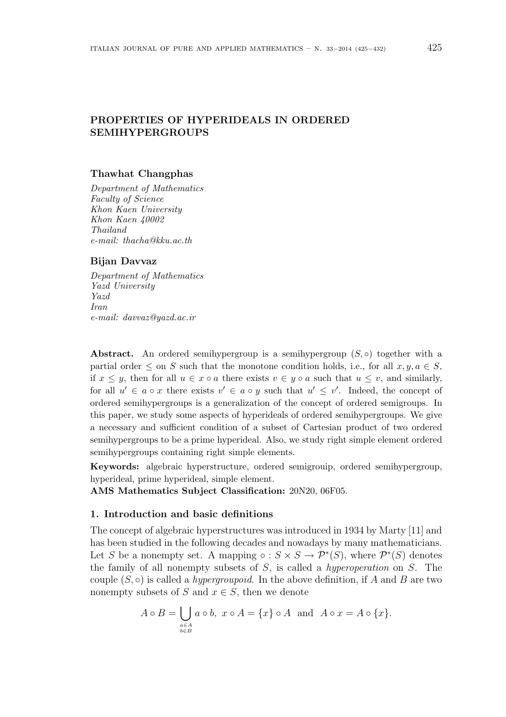# PROPERTIES OF HYPERIDEALS IN ORDERED SEMIHYPERGROUPS

## Thawhat Changphas

Department of Mathematics Faculty of Science Khon Kaen University Khon Kaen 40002 Thailand e-mail: thacha@kku.ac.th

#### Bijan Davvaz

Department of Mathematics Yazd University Yazd Iran e-mail: davvaz@yazd.ac.ir

**Abstract.** An ordered semihypergroup is a semihypergroup  $(S, \circ)$  together with a partial order  $\leq$  on S such that the monotone condition holds, i.e., for all  $x, y, a \in S$ , if  $x \leq y$ , then for all  $u \in x \circ a$  there exists  $v \in y \circ a$  such that  $u \leq v$ , and similarly, for all  $u' \in a \circ x$  there exists  $v' \in a \circ y$  such that  $u' \leq v'$ . Indeed, the concept of ordered semihypergroups is a generalization of the concept of ordered semigroups. In this paper, we study some aspects of hyperideals of ordered semihypergroups. We give a necessary and sufficient condition of a subset of Cartesian product of two ordered semihypergroups to be a prime hyperideal. Also, we study right simple element ordered semihypergroups containing right simple elements.

Keywords: algebraic hyperstructure, ordered semigrouip, ordered semihypergroup, hyperideal, prime hyperideal, simple element.

AMS Mathematics Subject Classification: 20N20, 06F05.

## 1. Introduction and basic definitions

The concept of algebraic hyperstructures was introduced in 1934 by Marty [11] and has been studied in the following decades and nowadays by many mathematicians. Let S be a nonempty set. A mapping  $\circ : S \times S \to \mathcal{P}^*(S)$ , where  $\mathcal{P}^*(S)$  denotes the family of all nonempty subsets of  $S$ , is called a *hyperoperation* on  $S$ . The couple  $(S, \circ)$  is called a *hypergroupoid*. In the above definition, if A and B are two nonempty subsets of S and  $x \in S$ , then we denote

$$
A \circ B = \bigcup_{\substack{a \in A \\ b \in B}} a \circ b, \ x \circ A = \{x\} \circ A \text{ and } A \circ x = A \circ \{x\}.
$$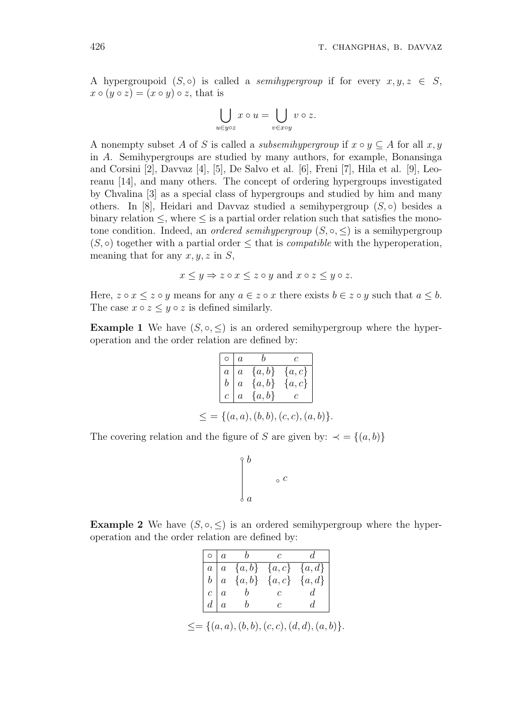A hypergroupoid  $(S, \circ)$  is called a *semihypergroup* if for every  $x, y, z \in S$ ,  $x \circ (y \circ z) = (x \circ y) \circ z$ , that is

$$
\bigcup_{u \in y \circ z} x \circ u = \bigcup_{v \in x \circ y} v \circ z.
$$

A nonempty subset A of S is called a *subsemihypergroup* if  $x \circ y \subseteq A$  for all  $x, y$ in A. Semihypergroups are studied by many authors, for example, Bonansinga and Corsini [2], Davvaz [4], [5], De Salvo et al. [6], Freni [7], Hila et al. [9], Leoreanu [14], and many others. The concept of ordering hypergroups investigated by Chvalina [3] as a special class of hypergroups and studied by him and many others. In [8], Heidari and Davvaz studied a semihypergroup  $(S, \circ)$  besides a binary relation  $\leq$ , where  $\leq$  is a partial order relation such that satisfies the monotone condition. Indeed, an *ordered semihypergroup*  $(S, \circ, \leq)$  is a semihypergroup  $(S, \circ)$  together with a partial order  $\leq$  that is *compatible* with the hyperoperation, meaning that for any  $x, y, z$  in  $S$ ,

$$
x \leq y \Rightarrow z \circ x \leq z \circ y
$$
 and  $x \circ z \leq y \circ z$ .

Here,  $z \circ x \leq z \circ y$  means for any  $a \in z \circ x$  there exists  $b \in z \circ y$  such that  $a \leq b$ . The case  $x \circ z \leq y \circ z$  is defined similarly.

**Example 1** We have  $(S, \circ, \leq)$  is an ordered semihypergroup where the hyperoperation and the order relation are defined by:

|  | $\begin{tabular}{ c c c c } \hline $\circ$ & $a$ & $b$ & $c$ \\ \hline $a$ & $a$ & $ \{a,b\}$ & $ \{a,c\}$ \\ $b$ & $a$ & $ \{a,b\}$ & $ \{a,c\}$ \\ $c$ & $a$ & $ \{a,b\}$ & $c$ \\ \hline \end{tabular}$ |  |
|--|------------------------------------------------------------------------------------------------------------------------------------------------------------------------------------------------------------|--|
|  |                                                                                                                                                                                                            |  |
|  | $\leq$ = { $(a, a), (b, b), (c, c), (a, b)$ }.                                                                                                                                                             |  |

The covering relation and the figure of S are given by:  $\prec$  = {(a, b)}

$$
\Biggr\downarrow^b \quad \ \ \circ \\
$$

 $\overline{c}$ 

**Example 2** We have  $(S, \circ, \leq)$  is an ordered semihypergroup where the hyperoperation and the order relation are defined by:

|            | $\circ \mid a$ |   |                         |
|------------|----------------|---|-------------------------|
|            | $a \mid a$     |   | ${a,b} \{a,c\} \{a,d\}$ |
|            | $b \mid a$     |   | ${a,b}$ ${a,c}$ ${a,d}$ |
| $c \mid a$ |                |   |                         |
| $d \mid a$ |                | C |                         |

 $\leq = \{(a, a), (b, b), (c, c), (d, d), (a, b)\}.$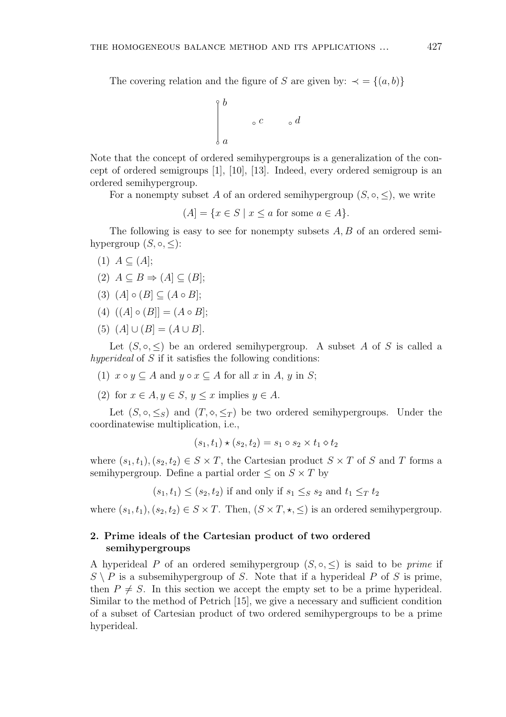The covering relation and the figure of S are given by:  $\prec$  = {(a, b)}

$$
\int_{a}^{b} \circ c \qquad \circ d
$$

Note that the concept of ordered semihypergroups is a generalization of the concept of ordered semigroups [1], [10], [13]. Indeed, every ordered semigroup is an ordered semihypergroup.

For a nonempty subset A of an ordered semihypergroup  $(S, \circ, \leq)$ , we write

$$
(A) = \{ x \in S \mid x \le a \text{ for some } a \in A \}.
$$

The following is easy to see for nonempty subsets A, B of an ordered semihypergroup  $(S, \circ, \leq)$ :

- $(1)$   $A \subset (A);$
- (2)  $A \subseteq B \Rightarrow (A] \subseteq (B);$
- (3)  $(A \circ (B) \subset (A \circ B);$
- (4)  $((A) \circ (B)] = (A \circ B);$
- (5)  $(A] \cup (B] = (A \cup B).$

Let  $(S, \circ, \leq)$  be an ordered semihypergroup. A subset A of S is called a hyperideal of S if it satisfies the following conditions:

- (1)  $x \circ y \subseteq A$  and  $y \circ x \subseteq A$  for all  $x$  in  $A$ ,  $y$  in  $S$ ;
- (2) for  $x \in A, y \in S, y \leq x$  implies  $y \in A$ .

Let  $(S, \circ, \leq_S)$  and  $(T, \circ, \leq_T)$  be two ordered semihypergroups. Under the coordinatewise multiplication, i.e.,

$$
(s_1, t_1) \star (s_2, t_2) = s_1 \circ s_2 \times t_1 \circ t_2
$$

where  $(s_1, t_1), (s_2, t_2) \in S \times T$ , the Cartesian product  $S \times T$  of S and T forms a semihypergroup. Define a partial order  $\leq$  on  $S \times T$  by

 $(s_1, t_1) \leq (s_2, t_2)$  if and only if  $s_1 \leq_S s_2$  and  $t_1 \leq_T t_2$ 

where  $(s_1, t_1), (s_2, t_2) \in S \times T$ . Then,  $(S \times T, \star, \leq)$  is an ordered semihypergroup.

## 2. Prime ideals of the Cartesian product of two ordered semihypergroups

A hyperideal P of an ordered semihypergroup  $(S, \circ, \leq)$  is said to be *prime* if  $S \setminus P$  is a subsemihypergroup of S. Note that if a hyperideal P of S is prime, then  $P \neq S$ . In this section we accept the empty set to be a prime hyperideal. Similar to the method of Petrich [15], we give a necessary and sufficient condition of a subset of Cartesian product of two ordered semihypergroups to be a prime hyperideal.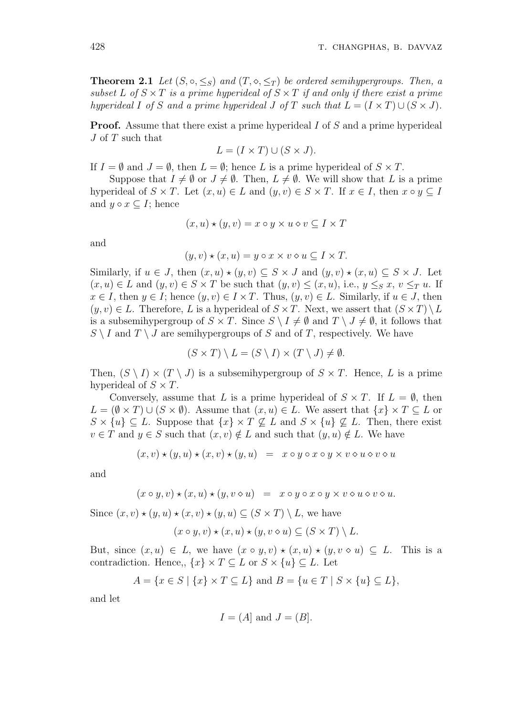**Theorem 2.1** Let  $(S, \circ, \leq_S)$  and  $(T, \circ, \leq_T)$  be ordered semihypergroups. Then, a subset L of  $S \times T$  is a prime hyperideal of  $S \times T$  if and only if there exist a prime hyperideal I of S and a prime hyperideal J of T such that  $L = (I \times T) \cup (S \times J)$ .

**Proof.** Assume that there exist a prime hyperideal I of S and a prime hyperideal J of T such that

$$
L = (I \times T) \cup (S \times J).
$$

If  $I = \emptyset$  and  $J = \emptyset$ , then  $L = \emptyset$ ; hence L is a prime hyperideal of  $S \times T$ .

Suppose that  $I \neq \emptyset$  or  $J \neq \emptyset$ . Then,  $L \neq \emptyset$ . We will show that L is a prime hyperideal of  $S \times T$ . Let  $(x, u) \in L$  and  $(y, v) \in S \times T$ . If  $x \in I$ , then  $x \circ y \subseteq I$ and  $y \circ x \subseteq I$ ; hence

$$
(x, u) \star (y, v) = x \circ y \times u \diamond v \subseteq I \times T
$$

and

$$
(y, v) \star (x, u) = y \circ x \times v \circ u \subseteq I \times T.
$$

Similarly, if  $u \in J$ , then  $(x, u) \star (y, v) \subseteq S \times J$  and  $(y, v) \star (x, u) \subseteq S \times J$ . Let  $(x, u) \in L$  and  $(y, v) \in S \times T$  be such that  $(y, v) \leq (x, u)$ , i.e.,  $y \leq_S x$ ,  $v \leq_T u$ . If  $x \in I$ , then  $y \in I$ ; hence  $(y, v) \in I \times T$ . Thus,  $(y, v) \in L$ . Similarly, if  $u \in J$ , then  $(y, v) \in L$ . Therefore, L is a hyperideal of  $S \times T$ . Next, we assert that  $(S \times T) \setminus L$ is a subsemihypergroup of  $S \times T$ . Since  $S \setminus I \neq \emptyset$  and  $T \setminus J \neq \emptyset$ , it follows that  $S \setminus I$  and  $T \setminus J$  are semihypergroups of S and of T, respectively. We have

$$
(S \times T) \setminus L = (S \setminus I) \times (T \setminus J) \neq \emptyset.
$$

Then,  $(S \setminus I) \times (T \setminus J)$  is a subsemihypergroup of  $S \times T$ . Hence, L is a prime hyperideal of  $S \times T$ .

Conversely, assume that L is a prime hyperideal of  $S \times T$ . If  $L = \emptyset$ , then  $L = (\emptyset \times T) \cup (S \times \emptyset)$ . Assume that  $(x, u) \in L$ . We assert that  $\{x\} \times T \subseteq L$  or  $S \times \{u\} \subseteq L$ . Suppose that  $\{x\} \times T \nsubseteq L$  and  $S \times \{u\} \nsubseteq L$ . Then, there exist  $v \in T$  and  $y \in S$  such that  $(x, v) \notin L$  and such that  $(y, u) \notin L$ . We have

$$
(x, v) \star (y, u) \star (x, v) \star (y, u) = x \circ y \circ x \circ y \times v \circ u \circ v \circ u
$$

and

$$
(x \circ y, v) \star (x, u) \star (y, v \diamond u) = x \circ y \circ x \circ y \times v \diamond u \diamond v \diamond u.
$$

Since  $(x, v) \star (y, u) \star (x, v) \star (y, u) \subset (S \times T) \setminus L$ , we have

$$
(x \circ y, v) \star (x, u) \star (y, v \diamond u) \subseteq (S \times T) \setminus L.
$$

But, since  $(x, u) \in L$ , we have  $(x \circ y, v) \star (x, u) \star (y, v \circ u) \subseteq L$ . This is a contradiction. Hence,,  $\{x\} \times T \subseteq L$  or  $S \times \{u\} \subseteq L$ . Let

$$
A = \{x \in S \mid \{x\} \times T \subseteq L\} \text{ and } B = \{u \in T \mid S \times \{u\} \subseteq L\},\
$$

and let

$$
I = (A)
$$
 and  $J = (B)$ .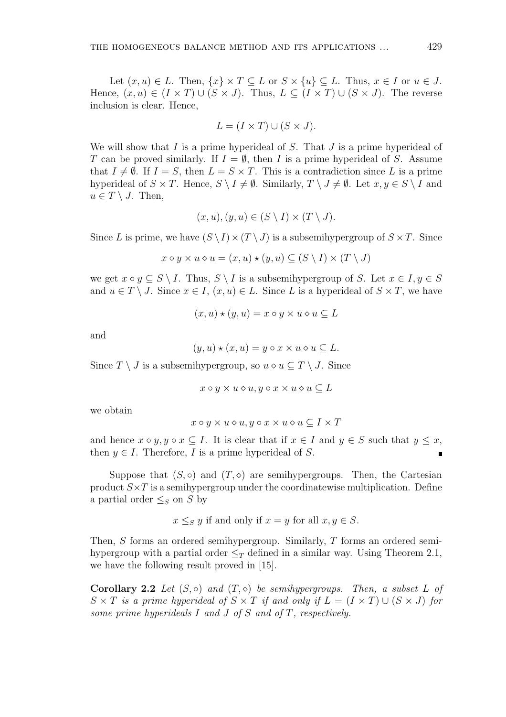Let  $(x, u) \in L$ . Then,  $\{x\} \times T \subseteq L$  or  $S \times \{u\} \subseteq L$ . Thus,  $x \in I$  or  $u \in J$ . Hence,  $(x, u) \in (I \times T) \cup (S \times J)$ . Thus,  $L \subseteq (I \times T) \cup (S \times J)$ . The reverse inclusion is clear. Hence,

$$
L = (I \times T) \cup (S \times J).
$$

We will show that  $I$  is a prime hyperideal of  $S$ . That  $J$  is a prime hyperideal of T can be proved similarly. If  $I = \emptyset$ , then I is a prime hyperideal of S. Assume that  $I \neq \emptyset$ . If  $I = S$ , then  $L = S \times T$ . This is a contradiction since L is a prime hyperideal of  $S \times T$ . Hence,  $S \setminus I \neq \emptyset$ . Similarly,  $T \setminus J \neq \emptyset$ . Let  $x, y \in S \setminus I$  and  $u \in T \setminus J$ . Then,

$$
(x, u), (y, u) \in (S \setminus I) \times (T \setminus J).
$$

Since L is prime, we have  $(S \setminus I) \times (T \setminus J)$  is a subsemihypergroup of  $S \times T$ . Since

$$
x \circ y \times u \diamond u = (x, u) \star (y, u) \subseteq (S \setminus I) \times (T \setminus J)
$$

we get  $x \circ y \subseteq S \setminus I$ . Thus,  $S \setminus I$  is a subsemihypergroup of S. Let  $x \in I, y \in S$ and  $u \in T \setminus J$ . Since  $x \in I$ ,  $(x, u) \in L$ . Since L is a hyperideal of  $S \times T$ , we have

$$
(x, u) \star (y, u) = x \circ y \times u \diamond u \subseteq L
$$

and

$$
(y, u) \star (x, u) = y \circ x \times u \circ u \subseteq L.
$$

Since  $T \setminus J$  is a subsemihypergroup, so  $u \diamond u \subseteq T \setminus J$ . Since

$$
x \circ y \times u \diamond u, y \circ x \times u \diamond u \subseteq L
$$

we obtain

$$
x \circ y \times u \diamond u, y \circ x \times u \diamond u \subseteq I \times T
$$

and hence  $x \circ y, y \circ x \subseteq I$ . It is clear that if  $x \in I$  and  $y \in S$  such that  $y \leq x$ , then  $y \in I$ . Therefore, I is a prime hyperideal of S.

Suppose that  $(S, \circ)$  and  $(T, \circ)$  are semihypergroups. Then, the Cartesian product  $S \times T$  is a semihypergroup under the coordinatewise multiplication. Define a partial order  $\leq_S$  on S by

$$
x \leq_S y
$$
 if and only if  $x = y$  for all  $x, y \in S$ .

Then, S forms an ordered semihypergroup. Similarly, T forms an ordered semihypergroup with a partial order  $\leq_T$  defined in a similar way. Using Theorem 2.1, we have the following result proved in [15].

Corollary 2.2 Let  $(S, \circ)$  and  $(T, \circ)$  be semihypergroups. Then, a subset L of  $S \times T$  is a prime hyperideal of  $S \times T$  if and only if  $L = (I \times T) \cup (S \times J)$  for some prime hyperideals I and J of S and of T, respectively.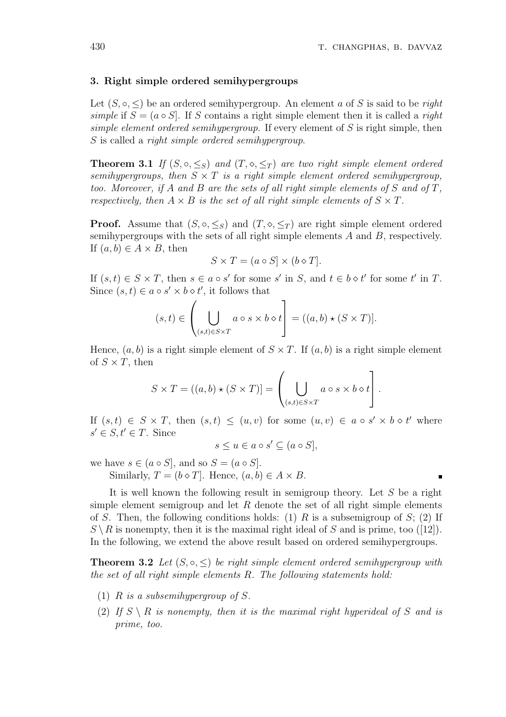#### 3. Right simple ordered semihypergroups

Let  $(S, \circ, \leq)$  be an ordered semihypergroup. An element a of S is said to be right simple if  $S = (a \circ S)$ . If S contains a right simple element then it is called a right simple element ordered semihypergroup. If every element of  $S$  is right simple, then S is called a right simple ordered semihypergroup.

**Theorem 3.1** If  $(S, \circ, \leq_S)$  and  $(T, \circ, \leq_T)$  are two right simple element ordered semihypergroups, then  $S \times T$  is a right simple element ordered semihypergroup, too. Moreover, if A and B are the sets of all right simple elements of S and of T, respectively, then  $A \times B$  is the set of all right simple elements of  $S \times T$ .

**Proof.** Assume that  $(S, \circ, \leq_S)$  and  $(T, \circ, \leq_T)$  are right simple element ordered semihypergroups with the sets of all right simple elements A and B, respectively. If  $(a, b) \in A \times B$ , then

$$
S \times T = (a \circ S] \times (b \circ T].
$$

If  $(s, t) \in S \times T$ , then  $s \in a \circ s'$  for some s' in S, and  $t \in b \circ t'$  for some t' in T. Since  $(s, t) \in a \circ s' \times b \diamond t'$ , it follows that  $\overline{a}$ 

$$
(s,t) \in \left(\bigcup_{(s,t)\in S\times T} a\circ s \times b \diamond t\right] = ((a,b)\star (S\times T)).
$$

Hence,  $(a, b)$  is a right simple element of  $S \times T$ . If  $(a, b)$  is a right simple element of  $S \times T$ , then  $\overline{\phantom{a}}$  $\overline{a}$ 

$$
S \times T = ((a, b) \star (S \times T)] = \left( \bigcup_{(s,t) \in S \times T} a \circ s \times b \diamond t \right).
$$

If  $(s,t) \in S \times T$ , then  $(s,t) \leq (u,v)$  for some  $(u,v) \in a \circ s' \times b \circ t'$  where  $s' \in S, t' \in T$ . Since

$$
s \le u \in a \circ s' \subseteq (a \circ S],
$$

we have  $s \in (a \circ S]$ , and so  $S = (a \circ S]$ .

Similarly,  $T = (b \diamond T]$ . Hence,  $(a, b) \in A \times B$ .

It is well known the following result in semigroup theory. Let  $S$  be a right simple element semigroup and let  $R$  denote the set of all right simple elements of S. Then, the following conditions holds: (1) R is a subsemigroup of S; (2) If  $S \setminus R$  is nonempty, then it is the maximal right ideal of S and is prime, too ([12]). In the following, we extend the above result based on ordered semihypergroups.

**Theorem 3.2** Let  $(S, \circ, \leq)$  be right simple element ordered semihypergroup with the set of all right simple elements R. The following statements hold:

- (1) R is a subsemihypergroup of S.
- (2) If  $S \setminus R$  is nonempty, then it is the maximal right hyperideal of S and is prime, too.

 $\blacksquare$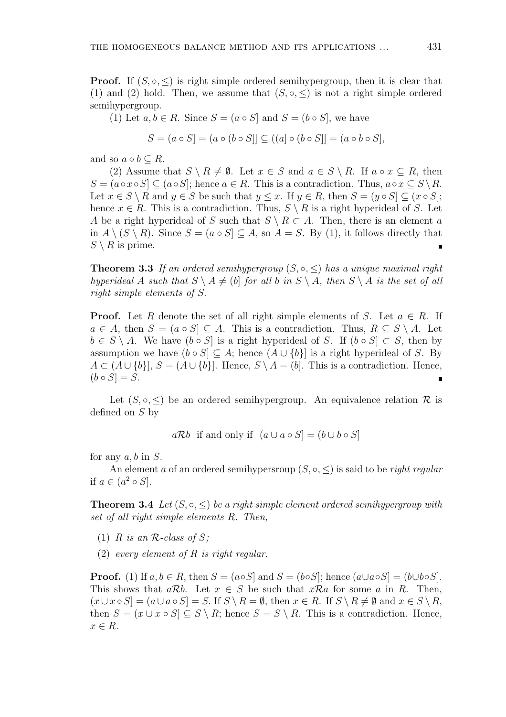**Proof.** If  $(S, \circ, \leq)$  is right simple ordered semihypergroup, then it is clear that (1) and (2) hold. Then, we assume that  $(S, \circ, \leq)$  is not a right simple ordered semihypergroup.

(1) Let  $a, b \in R$ . Since  $S = (a \circ S]$  and  $S = (b \circ S]$ , we have

$$
S = (a \circ S) = (a \circ (b \circ S)] \subseteq ((a] \circ (b \circ S)] = (a \circ b \circ S),
$$

and so  $a \circ b \subset R$ .

(2) Assume that  $S \setminus R \neq \emptyset$ . Let  $x \in S$  and  $a \in S \setminus R$ . If  $a \circ x \subseteq R$ , then  $S = (a \circ x \circ S] \subseteq (a \circ S);$  hence  $a \in R$ . This is a contradiction. Thus,  $a \circ x \subseteq S \backslash R$ . Let  $x \in S \setminus R$  and  $y \in S$  be such that  $y \leq x$ . If  $y \in R$ , then  $S = (y \circ S] \subseteq (x \circ S)$ ; hence  $x \in R$ . This is a contradiction. Thus,  $S \setminus R$  is a right hyperideal of S. Let A be a right hyperideal of S such that  $S \setminus R \subset A$ . Then, there is an element a in  $A \setminus (S \setminus R)$ . Since  $S = (a \circ S] \subseteq A$ , so  $A = S$ . By (1), it follows directly that  $S \setminus R$  is prime.

**Theorem 3.3** If an ordered semihypergroup  $(S, \circ, \leq)$  has a unique maximal right hyperideal A such that  $S \setminus A \neq (b)$  for all b in  $S \setminus A$ , then  $S \setminus A$  is the set of all right simple elements of S.

**Proof.** Let R denote the set of all right simple elements of S. Let  $a \in R$ . If  $a \in A$ , then  $S = (a \circ S] \subseteq A$ . This is a contradiction. Thus,  $R \subseteq S \setminus A$ . Let  $b \in S \setminus A$ . We have  $(b \circ S)$  is a right hyperideal of S. If  $(b \circ S) \subset S$ , then by assumption we have  $(b \circ S] \subseteq A$ ; hence  $(A \cup \{b\}]$  is a right hyperideal of S. By  $A \subset (A \cup \{b\}], S = (A \cup \{b\}].$  Hence,  $S \setminus A = (b]$ . This is a contradiction. Hence,  $(b \circ S) = S$ .

Let  $(S, \circ, \leq)$  be an ordered semihypergroup. An equivalence relation R is defined on S by

 $a\mathcal{R}b$  if and only if  $(a \cup a \circ S) = (b \cup b \circ S)$ 

for any  $a, b$  in  $S$ .

An element a of an ordered semihypersroup  $(S, \circ, \leq)$  is said to be *right regular* if  $a \in (a^2 \circ S]$ .

**Theorem 3.4** Let  $(S, \circ, \leq)$  be a right simple element ordered semihypergroup with set of all right simple elements R. Then,

- (1) R is an R-class of S:
- (2) every element of  $R$  is right regular.

**Proof.** (1) If  $a, b \in R$ , then  $S = (a \circ S)$  and  $S = (b \circ S)$ ; hence  $(a \cup a \circ S) = (b \cup b \circ S)$ . This shows that  $a\mathcal{R}b$ . Let  $x \in S$  be such that  $x\mathcal{R}a$  for some a in R. Then,  $(x \cup x \circ S) = (a \cup a \circ S) = S$ . If  $S \setminus R = \emptyset$ , then  $x \in R$ . If  $S \setminus R \neq \emptyset$  and  $x \in S \setminus R$ , then  $S = (x \cup x \circ S] \subseteq S \setminus R$ ; hence  $S = S \setminus R$ . This is a contradiction. Hence,  $x \in R$ .